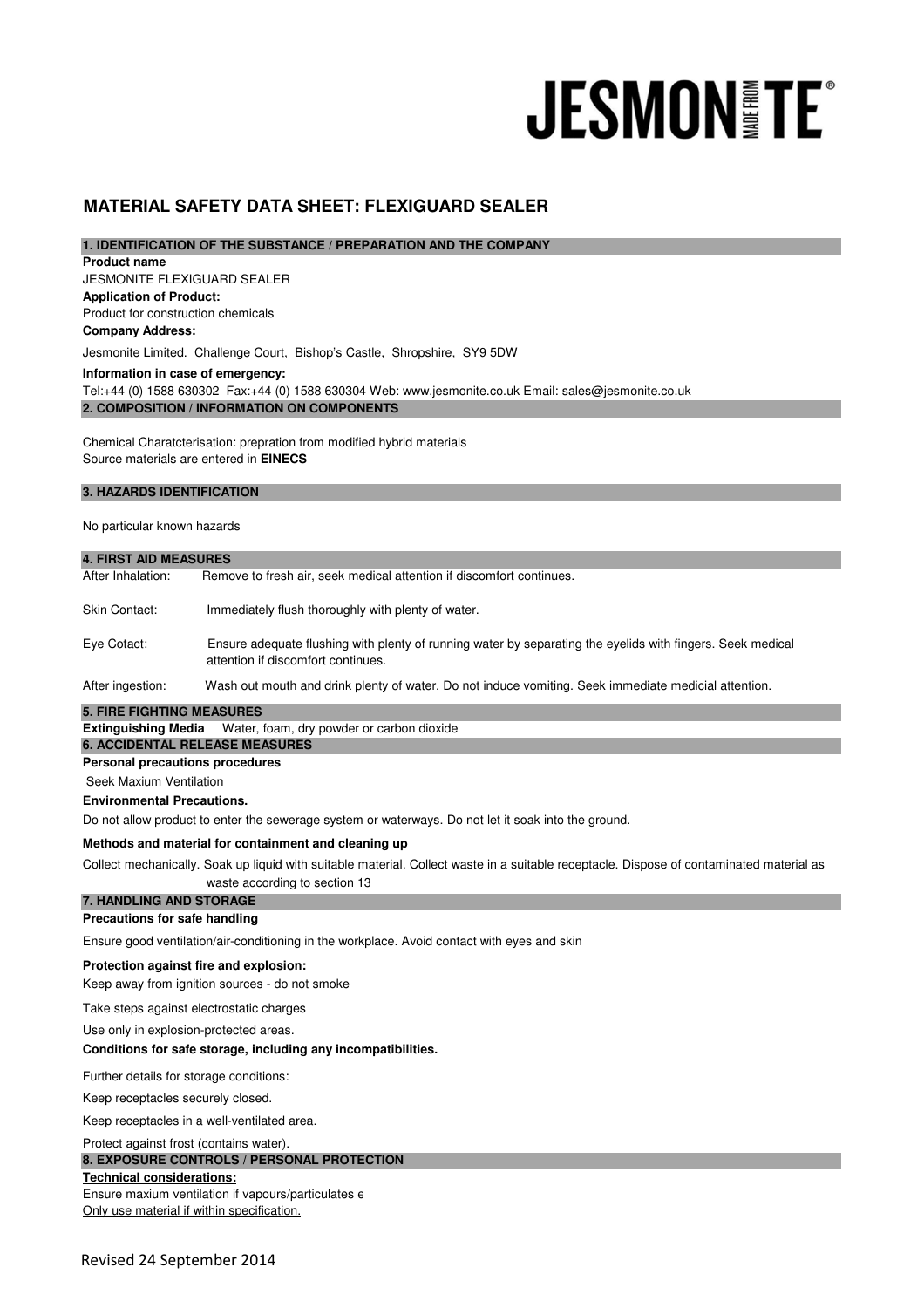# **JESMONITE**®

# **MATERIAL SAFETY DATA SHEET: FLEXIGUARD SEALER**

# **1. IDENTIFICATION OF THE SUBSTANCE / PREPARATION AND THE COMPANY**

JESMONITE FLEXIGUARD SEALER **Application of Product:**  Product for construction chemicals **Product name Company Address:**

Jesmonite Limited. Challenge Court, Bishop's Castle, Shropshire, SY9 5DW

**Information in case of emergency:**

**2. COMPOSITION / INFORMATION ON COMPONENTS**  Tel:+44 (0) 1588 630302 Fax:+44 (0) 1588 630304 Web: www.jesmonite.co.uk Email: sales@jesmonite.co.uk

Chemical Charatcterisation: prepration from modified hybrid materials Source materials are entered in **EINECS**

## **3. HAZARDS IDENTIFICATION**

### No particular known hazards

| <b>4. FIRST AID MEASURES</b>                                                                                                             |                                                                                                                                                  |  |
|------------------------------------------------------------------------------------------------------------------------------------------|--------------------------------------------------------------------------------------------------------------------------------------------------|--|
| After Inhalation:                                                                                                                        | Remove to fresh air, seek medical attention if discomfort continues.                                                                             |  |
| Skin Contact:                                                                                                                            | Immediately flush thoroughly with plenty of water.                                                                                               |  |
| Eye Cotact:                                                                                                                              | Ensure adequate flushing with plenty of running water by separating the eyelids with fingers. Seek medical<br>attention if discomfort continues. |  |
| After ingestion:                                                                                                                         | Wash out mouth and drink plenty of water. Do not induce vomiting. Seek immediate medicial attention.                                             |  |
| <b>5. FIRE FIGHTING MEASURES</b>                                                                                                         |                                                                                                                                                  |  |
| <b>Extinguishing Media</b>                                                                                                               | Water, foam, dry powder or carbon dioxide                                                                                                        |  |
|                                                                                                                                          | <b>6. ACCIDENTAL RELEASE MEASURES</b>                                                                                                            |  |
| <b>Personal precautions procedures</b>                                                                                                   |                                                                                                                                                  |  |
| Seek Maxium Ventilation                                                                                                                  |                                                                                                                                                  |  |
| <b>Environmental Precautions.</b>                                                                                                        |                                                                                                                                                  |  |
|                                                                                                                                          | Do not allow product to enter the sewerage system or waterways. Do not let it soak into the ground.                                              |  |
|                                                                                                                                          | Methods and material for containment and cleaning up                                                                                             |  |
| Collect mechanically. Soak up liquid with suitable material. Collect waste in a suitable receptacle. Dispose of contaminated material as |                                                                                                                                                  |  |
|                                                                                                                                          | waste according to section 13                                                                                                                    |  |
| 7. HANDLING AND STORAGE                                                                                                                  |                                                                                                                                                  |  |
| Precautions for safe handling                                                                                                            |                                                                                                                                                  |  |
| Ensure good ventilation/air-conditioning in the workplace. Avoid contact with eyes and skin                                              |                                                                                                                                                  |  |
|                                                                                                                                          | Protection against fire and explosion:                                                                                                           |  |
| Keep away from ignition sources - do not smoke                                                                                           |                                                                                                                                                  |  |
| Take steps against electrostatic charges                                                                                                 |                                                                                                                                                  |  |
| Use only in explosion-protected areas.                                                                                                   |                                                                                                                                                  |  |
|                                                                                                                                          | Conditions for safe storage, including any incompatibilities.                                                                                    |  |
| Further details for storage conditions:                                                                                                  |                                                                                                                                                  |  |
| Keep receptacles securely closed.                                                                                                        |                                                                                                                                                  |  |
| Keep receptacles in a well-ventilated area.                                                                                              |                                                                                                                                                  |  |
| Protect against frost (contains water).                                                                                                  |                                                                                                                                                  |  |

# **8. EXPOSURE CONTROLS / PERSONAL PROTECTION**

Ensure maxium ventilation if vapours/particulates e **Technical considerations:** Only use material if within specification.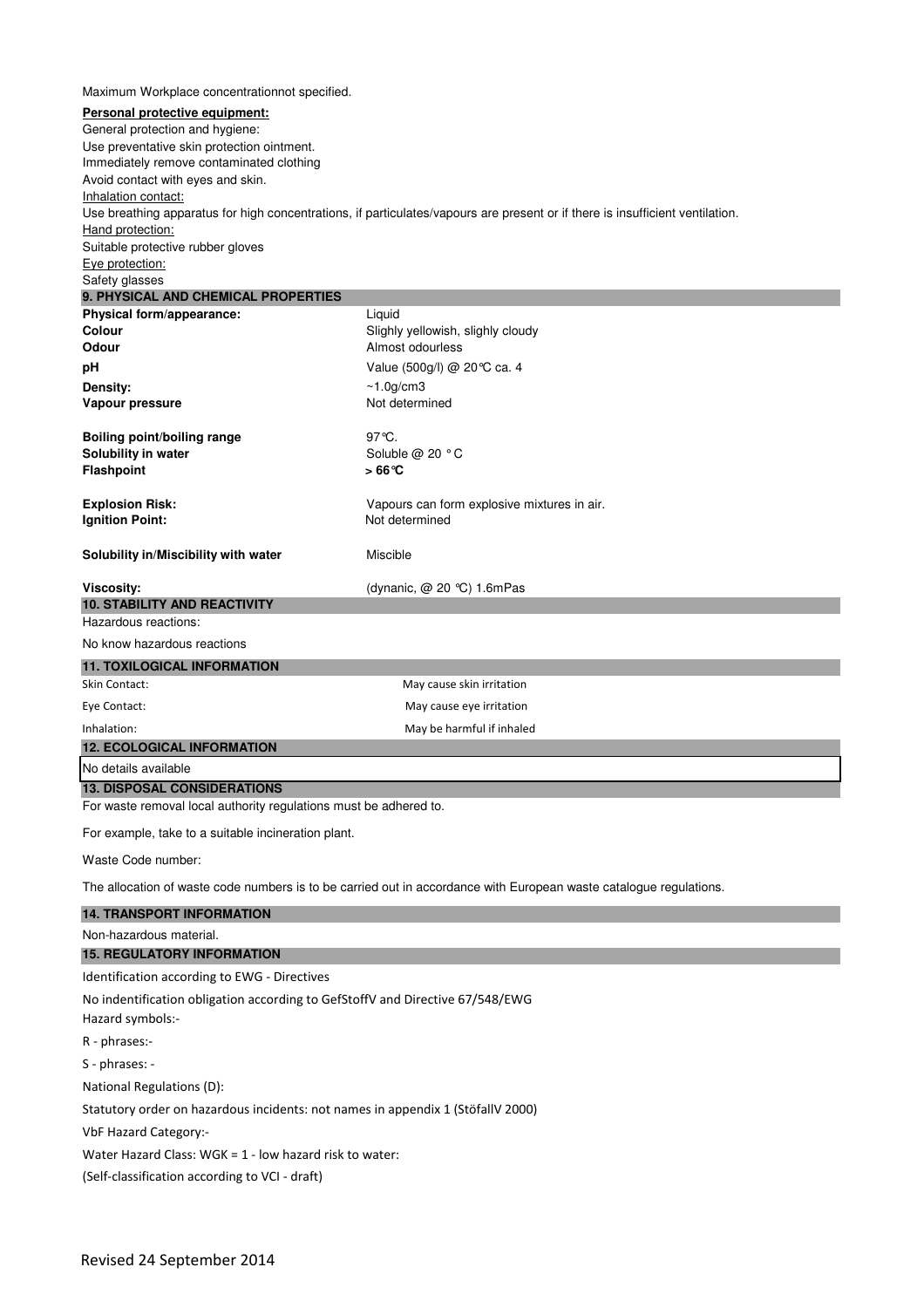| Maximum Workplace concentrationnot specified.                                                                      |                                                                                                                               |  |  |
|--------------------------------------------------------------------------------------------------------------------|-------------------------------------------------------------------------------------------------------------------------------|--|--|
| Personal protective equipment:                                                                                     |                                                                                                                               |  |  |
| General protection and hygiene:                                                                                    |                                                                                                                               |  |  |
| Use preventative skin protection ointment.                                                                         |                                                                                                                               |  |  |
| Immediately remove contaminated clothing                                                                           |                                                                                                                               |  |  |
| Avoid contact with eyes and skin.<br>Inhalation contact:                                                           |                                                                                                                               |  |  |
|                                                                                                                    | Use breathing apparatus for high concentrations, if particulates/vapours are present or if there is insufficient ventilation. |  |  |
| Hand protection:                                                                                                   |                                                                                                                               |  |  |
| Suitable protective rubber gloves                                                                                  |                                                                                                                               |  |  |
| Eye protection:                                                                                                    |                                                                                                                               |  |  |
| Safety glasses<br>9. PHYSICAL AND CHEMICAL PROPERTIES                                                              |                                                                                                                               |  |  |
| Physical form/appearance:                                                                                          | Liquid                                                                                                                        |  |  |
| Colour<br>Odour                                                                                                    | Slighly yellowish, slighly cloudy<br>Almost odourless                                                                         |  |  |
| pН                                                                                                                 | Value (500g/l) @ 20 ℃ ca. 4                                                                                                   |  |  |
| Density:                                                                                                           | $~1.0$ g/cm3                                                                                                                  |  |  |
| Vapour pressure                                                                                                    | Not determined                                                                                                                |  |  |
|                                                                                                                    |                                                                                                                               |  |  |
| <b>Boiling point/boiling range</b>                                                                                 | $97^{\circ}$ C.                                                                                                               |  |  |
| Solubility in water                                                                                                | Soluble @ 20 °C                                                                                                               |  |  |
| <b>Flashpoint</b>                                                                                                  | $>66^{\circ}$ C                                                                                                               |  |  |
| <b>Explosion Risk:</b>                                                                                             | Vapours can form explosive mixtures in air.                                                                                   |  |  |
| <b>Ignition Point:</b>                                                                                             | Not determined                                                                                                                |  |  |
|                                                                                                                    |                                                                                                                               |  |  |
| Solubility in/Miscibility with water                                                                               | Miscible                                                                                                                      |  |  |
|                                                                                                                    |                                                                                                                               |  |  |
| Viscosity:<br><b>10. STABILITY AND REACTIVITY</b>                                                                  | (dynanic, $@$ 20 °C) 1.6mPas                                                                                                  |  |  |
| Hazardous reactions:                                                                                               |                                                                                                                               |  |  |
| No know hazardous reactions                                                                                        |                                                                                                                               |  |  |
| <b>11. TOXILOGICAL INFORMATION</b>                                                                                 |                                                                                                                               |  |  |
| Skin Contact:                                                                                                      | May cause skin irritation                                                                                                     |  |  |
| Eye Contact:                                                                                                       | May cause eye irritation                                                                                                      |  |  |
| Inhalation:                                                                                                        | May be harmful if inhaled                                                                                                     |  |  |
| <b>12. ECOLOGICAL INFORMATION</b>                                                                                  |                                                                                                                               |  |  |
| No details available                                                                                               |                                                                                                                               |  |  |
| <b>13. DISPOSAL CONSIDERATIONS</b>                                                                                 |                                                                                                                               |  |  |
| For waste removal local authority regulations must be adhered to.                                                  |                                                                                                                               |  |  |
| For example, take to a suitable incineration plant.                                                                |                                                                                                                               |  |  |
|                                                                                                                    |                                                                                                                               |  |  |
| Waste Code number:                                                                                                 |                                                                                                                               |  |  |
| The allocation of waste code numbers is to be carried out in accordance with European waste catalogue regulations. |                                                                                                                               |  |  |
| <b>14. TRANSPORT INFORMATION</b>                                                                                   |                                                                                                                               |  |  |
| Non-hazardous material.                                                                                            |                                                                                                                               |  |  |
| <b>15. REGULATORY INFORMATION</b>                                                                                  |                                                                                                                               |  |  |
| Identification according to EWG - Directives                                                                       |                                                                                                                               |  |  |
| No indentification obligation according to GefStoffV and Directive 67/548/EWG                                      |                                                                                                                               |  |  |
| Hazard symbols:-                                                                                                   |                                                                                                                               |  |  |
| R - phrases:-                                                                                                      |                                                                                                                               |  |  |
| S - phrases: -                                                                                                     |                                                                                                                               |  |  |
| National Regulations (D):                                                                                          |                                                                                                                               |  |  |
| Statutory order on hazardous incidents: not names in appendix 1 (StöfallV 2000)                                    |                                                                                                                               |  |  |
| VbF Hazard Category:-                                                                                              |                                                                                                                               |  |  |
| Water Hazard Class: WGK = $1$ - low hazard risk to water:                                                          |                                                                                                                               |  |  |
|                                                                                                                    |                                                                                                                               |  |  |
| (Self-classification according to VCI - draft)                                                                     |                                                                                                                               |  |  |
|                                                                                                                    |                                                                                                                               |  |  |